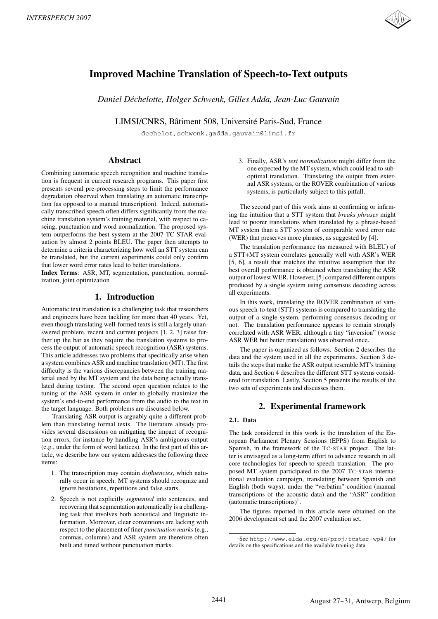

# **Improved Machine Translation of Speech-to-Text outputs**

*Daniel Dechelotte, Holger Schwenk, Gilles Adda, Jean-Luc Gauvain ´*

LIMSI/CNRS, Bâtiment 508, Université Paris-Sud, France

dechelot,schwenk,gadda,gauvain@limsi.fr

## **Abstract**

Combining automatic speech recognition and machine translation is frequent in current research programs. This paper first presents several pre-processing steps to limit the performance degradation observed when translating an automatic transcription (as opposed to a manual transcription). Indeed, automatically transcribed speech often differs significantly from the machine translation system's training material, with respect to caseing, punctuation and word normalization. The proposed system outperforms the best system at the 2007 TC-STAR evaluation by almost 2 points BLEU. The paper then attempts to determine a criteria characterizing how well an STT system can be translated, but the current experiments could only confirm that lower word error rates lead to better translations.

**Index Terms**: ASR, MT, segmentation, punctuation, normalization, joint optimization

# **1. Introduction**

Automatic text translation is a challenging task that researchers and engineers have been tackling for more than 40 years. Yet, even though translating well-formed texts is still a largely unanswered problem, recent and current projects [1, 2, 3] raise further up the bar as they require the translation systems to process the output of automatic speech recognition (ASR) systems. This article addresses two problems that specifically arise when a system combines ASR and machine translation (MT). The first difficulty is the various discrepancies between the training material used by the MT system and the data being actually translated during testing. The second open question relates to the tuning of the ASR system in order to globally maximize the system's end-to-end performance from the audio to the text in the target language. Both problems are discussed below.

Translating ASR output is arguably quite a different problem than translating formal texts. The literature already provides several discussions on mitigating the impact of recognition errors, for instance by handling ASR's ambiguous output (e.g., under the form of word lattices). In the first part of this article, we describe how our system addresses the following three items:

- 1. The transcription may contain *disfluencies*, which naturally occur in speech. MT systems should recognize and ignore hesitations, repetitions and false starts.
- 2. Speech is not explicitly *segmented* into sentences, and recovering that segmentation automatically is a challenging task that involves both acoustical and linguistic information. Moreover, clear conventions are lacking with respect to the placement of finer *punctuation marks* (e.g., commas, columns) and ASR system are therefore often built and tuned without punctuation marks.

3. Finally, ASR's *text normalization* might differ from the one expected by the MT system, which could lead to suboptimal translation. Translating the output from external ASR systems, or the ROVER combination of various systems, is particularly subject to this pitfall.

The second part of this work aims at confirming or infirming the intuition that a STT system that *breaks phrases* might lead to poorer translations when translated by a phrase-based MT system than a STT system of comparable word error rate (WER) that preserves more phrases, as suggested by [4].

The translation performance (as measured with BLEU) of a STT+MT system correlates generally well with ASR's WER [5, 6], a result that matches the intuitive assumption that the best overall performance is obtained when translating the ASR output of lowest WER. However, [5] compared different outputs produced by a single system using consensus decoding across all experiments.

In this work, translating the ROVER combination of various speech-to-text (STT) systems is compared to translating the output of a single system, performing consensus decoding or not. The translation performance appears to remain strongly correlated with ASR WER, although a tiny "inversion" (worse ASR WER but better translation) was observed once.

The paper is organized as follows. Section 2 describes the data and the system used in all the experiments. Section 3 details the steps that make the ASR output resemble MT's training data, and Section 4 describes the different STT systems considered for translation. Lastly, Section 5 presents the results of the two sets of experiments and discusses them.

# **2. Experimental framework**

### **2.1. Data**

The task considered in this work is the translation of the European Parliament Plenary Sessions (EPPS) from English to Spanish, in the framework of the TC-STAR project. The latter is envisaged as a long-term effort to advance research in all core technologies for speech-to-speech translation. The proposed MT system participated to the 2007 TC-STAR international evaluation campaign, translating between Spanish and English (both ways), under the "verbatim" condition (manual transcriptions of the acoustic data) and the "ASR" condition (automatic transcriptions)<sup>1</sup>.

The figures reported in this article were obtained on the 2006 development set and the 2007 evaluation set.

<sup>1</sup>See http://www.elda.org/en/proj/tcstar-wp4/ for details on the specifications and the available training data.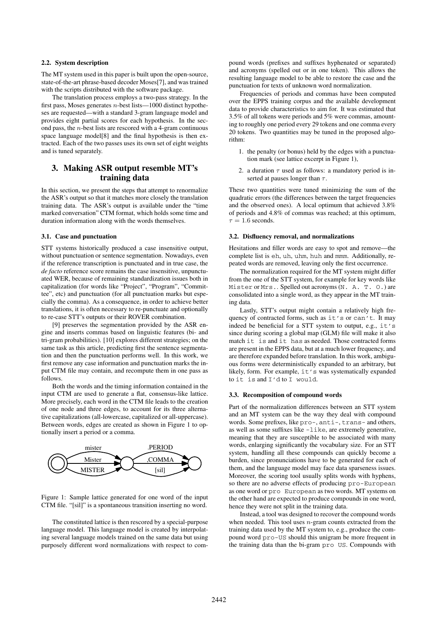#### **2.2. System description**

The MT system used in this paper is built upon the open-source, state-of-the-art phrase-based decoder Moses[7], and was trained with the scripts distributed with the software package.

The translation process employs a two-pass strategy. In the first pass, Moses generates  $n$ -best lists—1000 distinct hypotheses are requested—with a standard 3-gram language model and provides eight partial scores for each hypothesis. In the second pass, the  $n$ -best lists are rescored with a 4-gram continuous space language model[8] and the final hypothesis is then extracted. Each of the two passes uses its own set of eight weights and is tuned separately.

# **3. Making ASR output resemble MT's training data**

In this section, we present the steps that attempt to renormalize the ASR's output so that it matches more closely the translation training data. The ASR's output is available under the "time marked conversation" CTM format, which holds some time and duration information along with the words themselves.

#### **3.1. Case and punctuation**

STT systems historically produced a case insensitive output, without punctuation or sentence segmentation. Nowadays, even if the reference transcription is punctuated and in true case, the *de facto* reference score remains the case insensitive, unpunctuated WER, because of remaining standardization issues both in capitalization (for words like "Project", "Program", "Committee", etc) and punctuation (for all punctuation marks but especially the comma). As a consequence, in order to achieve better translations, it is often necessary to re-punctuate and optionally to re-case STT's outputs or their ROVER combination.

[9] preserves the segmentation provided by the ASR engine and inserts commas based on linguistic features (bi- and tri-gram probabilities). [10] explores different strategies; on the same task as this article, predicting first the sentence segmentation and then the punctuation performs well. In this work, we first remove any case information and punctuation marks the input CTM file may contain, and recompute them in one pass as follows.

Both the words and the timing information contained in the input CTM are used to generate a flat, consensus-like lattice. More precisely, each word in the CTM file leads to the creation of one node and three edges, to account for its three alternative capitalizations (all-lowercase, capitalized or all-uppercase). Between words, edges are created as shown in Figure 1 to optionally insert a period or a comma.



Figure 1: Sample lattice generated for one word of the input CTM file. "[sil]" is a spontaneous transition inserting no word.

The constituted lattice is then rescored by a special-purpose language model. This language model is created by interpolating several language models trained on the same data but using purposely different word normalizations with respect to com-

pound words (prefixes and suffixes hyphenated or separated) and acronyms (spelled out or in one token). This allows the resulting language model to be able to restore the case and the punctuation for texts of unknown word normalization.

Frequencies of periods and commas have been computed over the EPPS training corpus and the available development data to provide characteristics to aim for. It was estimated that 3.5% of all tokens were periods and 5% were commas, amounting to roughly one period every 29 tokens and one comma every 20 tokens. Two quantities may be tuned in the proposed algorithm:

- 1. the penalty (or bonus) held by the edges with a punctuation mark (see lattice excerpt in Figure 1),
- 2. a duration  $\tau$  used as follows: a mandatory period is inserted at pauses longer than  $\tau$ .

These two quantities were tuned minimizing the sum of the quadratic errors (the differences between the target frequencies and the observed ones). A local optimum that achieved 3.8% of periods and 4.8% of commas was reached; at this optimum,  $\tau = 1.6$  seconds.

#### **3.2. Disfluency removal, and normalizations**

Hesitations and filler words are easy to spot and remove—the complete list is eh, uh, uhm, huh and mmm. Additionally, repeated words are removed, leaving only the first occurrence.

The normalization required for the MT system might differ from the one of the STT system, for example for key words like Mister or Mrs.. Spelled out acronyms (N. A. T. O.) are consolidated into a single word, as they appear in the MT training data.

Lastly, STT's output might contain a relatively high frequency of contracted forms, such as it's or can't. It may indeed be beneficial for a STT system to output, e.g., it's since during scoring a global map (GLM) file will make it also match it is and it has as needed. Those contracted forms are present in the EPPS data, but at a much lower frequency, and are therefore expanded before translation. In this work, ambiguous forms were deterministically expanded to an arbitrary, but likely, form. For example, it's was systematically expanded to it is and I'd to I would.

#### **3.3. Recomposition of compound words**

Part of the normalization differences between an STT system and an MT system can be the way they deal with compound words. Some prefixes, like pro-, anti-, trans- and others, as well as some suffixes like -like, are extremely generative, meaning that they are susceptible to be associated with many words, enlarging significantly the vocabulary size. For an STT system, handling all these compounds can quickly become a burden, since pronunciations have to be generated for each of them, and the language model may face data sparseness issues. Moreover, the scoring tool usually splits words with hyphens, so there are no adverse effects of producing pro-European as one word or pro European as two words. MT systems on the other hand are expected to produce compounds in one word, hence they were not split in the training data.

Instead, a tool was designed to recover the compound words when needed. This tool uses  $n$ -gram counts extracted from the training data used by the MT system to, e.g., produce the compound word pro-US should this unigram be more frequent in the training data than the bi-gram pro US. Compounds with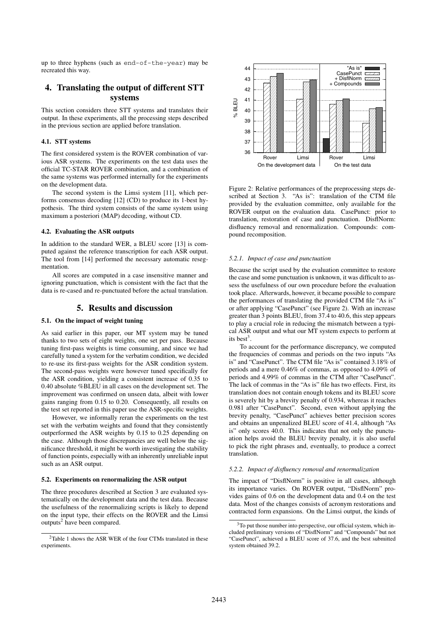up to three hyphens (such as end-of-the-year) may be recreated this way.

# **4. Translating the output of different STT systems**

This section considers three STT systems and translates their output. In these experiments, all the processing steps described in the previous section are applied before translation.

#### **4.1. STT systems**

The first considered system is the ROVER combination of various ASR systems. The experiments on the test data uses the official TC-STAR ROVER combination, and a combination of the same systems was performed internally for the experiments on the development data.

The second system is the Limsi system [11], which performs consensus decoding [12] (CD) to produce its 1-best hypothesis. The third system consists of the same system using maximum a posteriori (MAP) decoding, without CD.

#### **4.2. Evaluating the ASR outputs**

In addition to the standard WER, a BLEU score [13] is computed against the reference transcription for each ASR output. The tool from [14] performed the necessary automatic resegmentation.

All scores are computed in a case insensitive manner and ignoring punctuation, which is consistent with the fact that the data is re-cased and re-punctuated before the actual translation.

### **5. Results and discussion**

### **5.1. On the impact of weight tuning**

As said earlier in this paper, our MT system may be tuned thanks to two sets of eight weights, one set per pass. Because tuning first-pass weights is time consuming, and since we had carefully tuned a system for the verbatim condition, we decided to re-use its first-pass weights for the ASR condition system. The second-pass weights were however tuned specifically for the ASR condition, yielding a consistent increase of 0.35 to 0.40 absolute %BLEU in all cases on the development set. The improvement was confirmed on unseen data, albeit with lower gains ranging from 0.15 to 0.20. Consequently, all results on the test set reported in this paper use the ASR-specific weights.

However, we informally reran the experiments on the test set with the verbatim weights and found that they consistently outperformed the ASR weights by 0.15 to 0.25 depending on the case. Although those discrepancies are well below the significance threshold, it might be worth investigating the stability of function points, especially with an inherently unreliable input such as an ASR output.

#### **5.2. Experiments on renormalizing the ASR output**

The three procedures described at Section 3 are evaluated systematically on the development data and the test data. Because the usefulness of the renormalizing scripts is likely to depend on the input type, their effects on the ROVER and the Limsi  $outputs<sup>2</sup>$  have been compared.



Figure 2: Relative performances of the preprocessing steps described at Section 3. "As is": translation of the CTM file provided by the evaluation committee, only available for the ROVER output on the evaluation data. CasePunct: prior to translation, restoration of case and punctuation. DisflNorm: disfluency removal and renormalization. Compounds: compound recomposition.

#### *5.2.1. Impact of case and punctuation*

Because the script used by the evaluation committee to restore the case and some punctuation is unknown, it was difficult to assess the usefulness of our own procedure before the evaluation took place. Afterwards, however, it became possible to compare the performances of translating the provided CTM file "As is" or after applying "CasePunct" (see Figure 2). With an increase greater than 3 points BLEU, from 37.4 to 40.6, this step appears to play a crucial role in reducing the mismatch between a typical ASR output and what our MT system expects to perform at its best<sup>3</sup>.

To account for the performance discrepancy, we computed the frequencies of commas and periods on the two inputs "As is" and "CasePunct". The CTM file "As is" contained 3.18% of periods and a mere 0.46% of commas, as opposed to 4.09% of periods and 4.99% of commas in the CTM after "CasePunct". The lack of commas in the "As is" file has two effects. First, its translation does not contain enough tokens and its BLEU score is severely hit by a brevity penalty of 0.934, whereas it reaches 0.981 after "CasePunct". Second, even without applying the brevity penalty, "CasePunct" achieves better precision scores and obtains an unpenalized BLEU score of 41.4, although "As is" only scores 40.0. This indicates that not only the punctuation helps avoid the BLEU brevity penalty, it is also useful to pick the right phrases and, eventually, to produce a correct translation.

#### *5.2.2. Impact of disfluency removal and renormalization*

The impact of "DisflNorm" is positive in all cases, although its importance varies. On ROVER output, "DisflNorm" provides gains of 0.6 on the development data and 0.4 on the test data. Most of the changes consists of acronym restorations and contracted form expansions. On the Limsi output, the kinds of

<sup>&</sup>lt;sup>2</sup>Table 1 shows the ASR WER of the four CTMs translated in these experiments.

<sup>&</sup>lt;sup>3</sup>To put those number into perspective, our official system, which included preliminary versions of "DisflNorm" and "Compounds" but not "CasePunct", achieved a BLEU score of 37.6, and the best submitted system obtained 39.2.